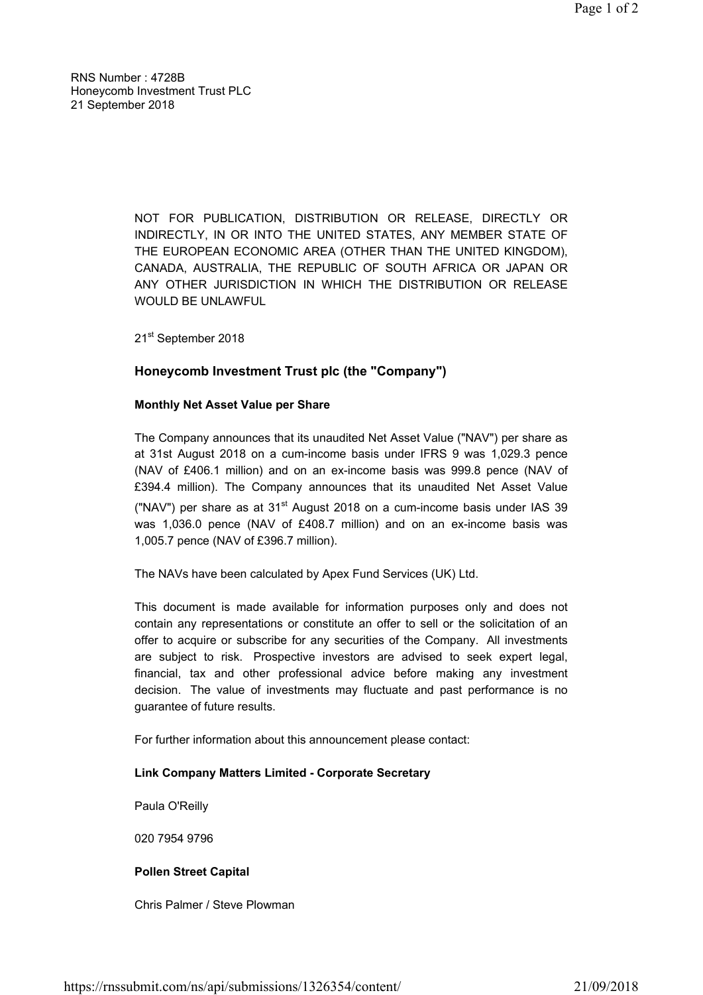RNS Number : 4728B Honeycomb Investment Trust PLC 21 September 2018

> NOT FOR PUBLICATION, DISTRIBUTION OR RELEASE, DIRECTLY OR INDIRECTLY, IN OR INTO THE UNITED STATES, ANY MEMBER STATE OF THE EUROPEAN ECONOMIC AREA (OTHER THAN THE UNITED KINGDOM), CANADA, AUSTRALIA, THE REPUBLIC OF SOUTH AFRICA OR JAPAN OR ANY OTHER JURISDICTION IN WHICH THE DISTRIBUTION OR RELEASE WOULD BE UNLAWFUL

21st September 2018

# Honeycomb Investment Trust plc (the "Company")

### Monthly Net Asset Value per Share

The Company announces that its unaudited Net Asset Value ("NAV") per share as at 31st August 2018 on a cum-income basis under IFRS 9 was 1,029.3 pence (NAV of £406.1 million) and on an ex-income basis was 999.8 pence (NAV of £394.4 million). The Company announces that its unaudited Net Asset Value ("NAV") per share as at  $31<sup>st</sup>$  August 2018 on a cum-income basis under IAS 39 was 1,036.0 pence (NAV of £408.7 million) and on an ex-income basis was 1,005.7 pence (NAV of £396.7 million).

The NAVs have been calculated by Apex Fund Services (UK) Ltd.

This document is made available for information purposes only and does not contain any representations or constitute an offer to sell or the solicitation of an offer to acquire or subscribe for any securities of the Company. All investments are subject to risk. Prospective investors are advised to seek expert legal, financial, tax and other professional advice before making any investment decision. The value of investments may fluctuate and past performance is no guarantee of future results.

For further information about this announcement please contact:

# Link Company Matters Limited - Corporate Secretary

Paula O'Reilly

020 7954 9796

# Pollen Street Capital

Chris Palmer / Steve Plowman